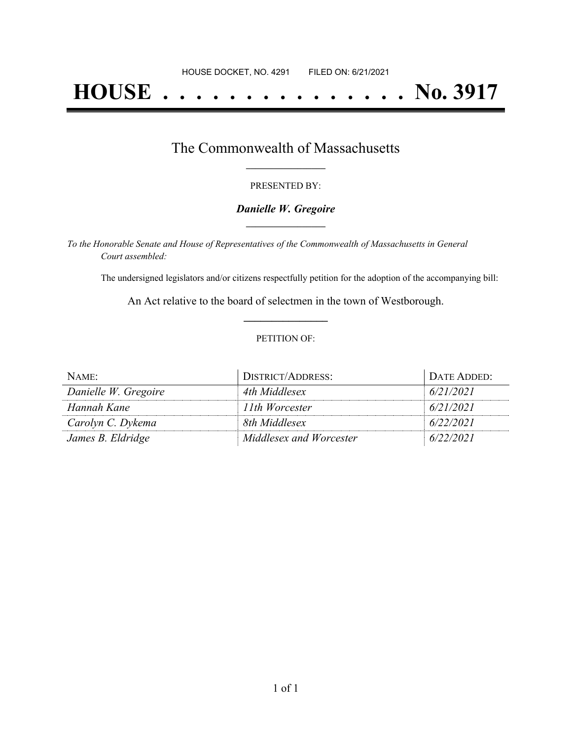# **HOUSE . . . . . . . . . . . . . . . No. 3917**

### The Commonwealth of Massachusetts **\_\_\_\_\_\_\_\_\_\_\_\_\_\_\_\_\_**

#### PRESENTED BY:

#### *Danielle W. Gregoire* **\_\_\_\_\_\_\_\_\_\_\_\_\_\_\_\_\_**

*To the Honorable Senate and House of Representatives of the Commonwealth of Massachusetts in General Court assembled:*

The undersigned legislators and/or citizens respectfully petition for the adoption of the accompanying bill:

An Act relative to the board of selectmen in the town of Westborough. **\_\_\_\_\_\_\_\_\_\_\_\_\_\_\_**

#### PETITION OF:

| NAME:                | DISTRICT/ADDRESS:       | DATE ADDED: |
|----------------------|-------------------------|-------------|
| Danielle W. Gregoire | 4th Middlesex           | 6/21/2021   |
| Hannah Kane          | 11th Worcester          | 6/21/2021   |
| Carolyn C. Dykema    | 8th Middlesex           | 6/22/2021   |
| James B. Eldridge    | Middlesex and Worcester | 6/22/2021   |